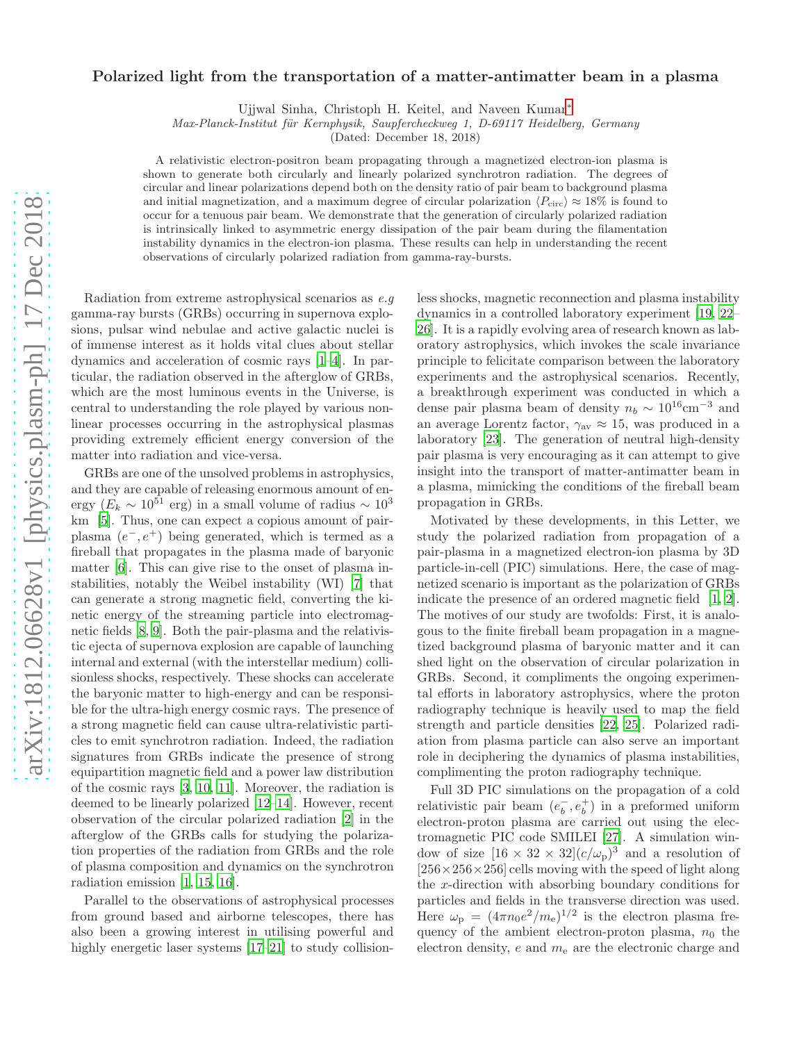## Polarized light from the transportation of a matter-antimatter beam in a plasma

Ujjwal Sinha, Christoph H. Keitel, and Naveen Kumar[∗](#page-3-0)

Max-Planck-Institut für Kernphysik, Saupfercheckweg 1, D-69117 Heidelberg, Germany

(Dated: December 18, 2018)

A relativistic electron-positron beam propagating through a magnetized electron-ion plasma is shown to generate both circularly and linearly polarized synchrotron radiation. The degrees of circular and linear polarizations depend both on the density ratio of pair beam to background plasma and initial magnetization, and a maximum degree of circular polarization  $\langle P_{\text{circ}} \rangle \approx 18\%$  is found to occur for a tenuous pair beam. We demonstrate that the generation of circularly polarized radiation is intrinsically linked to asymmetric energy dissipation of the pair beam during the filamentation instability dynamics in the electron-ion plasma. These results can help in understanding the recent observations of circularly polarized radiation from gamma-ray-bursts.

Radiation from extreme astrophysical scenarios as e.g gamma-ray bursts (GRBs) occurring in supernova explosions, pulsar wind nebulae and active galactic nuclei is of immense interest as it holds vital clues about stellar dynamics and acceleration of cosmic rays [\[1](#page-3-1)[–4](#page-4-0)]. In particular, the radiation observed in the afterglow of GRBs, which are the most luminous events in the Universe, is central to understanding the role played by various nonlinear processes occurring in the astrophysical plasmas providing extremely efficient energy conversion of the matter into radiation and vice-versa.

GRBs are one of the unsolved problems in astrophysics, and they are capable of releasing enormous amount of energy ( $E_k \sim 10^{51}$  erg) in a small volume of radius ~  $10^3$ km [\[5\]](#page-4-1). Thus, one can expect a copious amount of pairplasma  $(e^-, e^+)$  being generated, which is termed as a fireball that propagates in the plasma made of baryonic matter [\[6\]](#page-4-2). This can give rise to the onset of plasma instabilities, notably the Weibel instability (WI) [\[7\]](#page-4-3) that can generate a strong magnetic field, converting the kinetic energy of the streaming particle into electromagnetic fields [\[8,](#page-4-4) [9](#page-4-5)]. Both the pair-plasma and the relativistic ejecta of supernova explosion are capable of launching internal and external (with the interstellar medium) collisionless shocks, respectively. These shocks can accelerate the baryonic matter to high-energy and can be responsible for the ultra-high energy cosmic rays. The presence of a strong magnetic field can cause ultra-relativistic particles to emit synchrotron radiation. Indeed, the radiation signatures from GRBs indicate the presence of strong equipartition magnetic field and a power law distribution of the cosmic rays [\[3,](#page-4-6) [10,](#page-4-7) [11\]](#page-4-8). Moreover, the radiation is deemed to be linearly polarized [\[12](#page-4-9)[–14](#page-4-10)]. However, recent observation of the circular polarized radiation [\[2\]](#page-3-2) in the afterglow of the GRBs calls for studying the polarization properties of the radiation from GRBs and the role of plasma composition and dynamics on the synchrotron radiation emission [\[1](#page-3-1), [15,](#page-4-11) [16\]](#page-4-12).

Parallel to the observations of astrophysical processes from ground based and airborne telescopes, there has also been a growing interest in utilising powerful and highly energetic laser systems [\[17](#page-4-13)[–21\]](#page-4-14) to study collisionless shocks, magnetic reconnection and plasma instability dynamics in a controlled laboratory experiment [\[19,](#page-4-15) [22](#page-4-16)– [26](#page-4-17)]. It is a rapidly evolving area of research known as laboratory astrophysics, which invokes the scale invariance principle to felicitate comparison between the laboratory experiments and the astrophysical scenarios. Recently, a breakthrough experiment was conducted in which a dense pair plasma beam of density  $n_b \sim 10^{16} \text{cm}^{-3}$  and an average Lorentz factor,  $\gamma_{\text{av}} \approx 15$ , was produced in a laboratory [\[23](#page-4-18)]. The generation of neutral high-density pair plasma is very encouraging as it can attempt to give insight into the transport of matter-antimatter beam in a plasma, mimicking the conditions of the fireball beam propagation in GRBs.

Motivated by these developments, in this Letter, we study the polarized radiation from propagation of a pair-plasma in a magnetized electron-ion plasma by 3D particle-in-cell (PIC) simulations. Here, the case of magnetized scenario is important as the polarization of GRBs indicate the presence of an ordered magnetic field [\[1,](#page-3-1) [2\]](#page-3-2). The motives of our study are twofolds: First, it is analogous to the finite fireball beam propagation in a magnetized background plasma of baryonic matter and it can shed light on the observation of circular polarization in GRBs. Second, it compliments the ongoing experimental efforts in laboratory astrophysics, where the proton radiography technique is heavily used to map the field strength and particle densities [\[22](#page-4-16), [25\]](#page-4-19). Polarized radiation from plasma particle can also serve an important role in deciphering the dynamics of plasma instabilities, complimenting the proton radiography technique.

Full 3D PIC simulations on the propagation of a cold relativistic pair beam  $(e<sub>b</sub>)$  $\overline{b}$ ,  $e_b^+$ ) in a preformed uniform electron-proton plasma are carried out using the electromagnetic PIC code SMILEI [\[27](#page-4-20)]. A simulation window of size  $[16 \times 32 \times 32](c/\omega_{\rm p})^3$  and a resolution of  $[256 \times 256 \times 256]$  cells moving with the speed of light along the x-direction with absorbing boundary conditions for particles and fields in the transverse direction was used. Here  $\omega_{\rm p} = (4\pi n_0 e^2/m_{\rm e})^{1/2}$  is the electron plasma frequency of the ambient electron-proton plasma,  $n_0$  the electron density,  $e$  and  $m<sub>e</sub>$  are the electronic charge and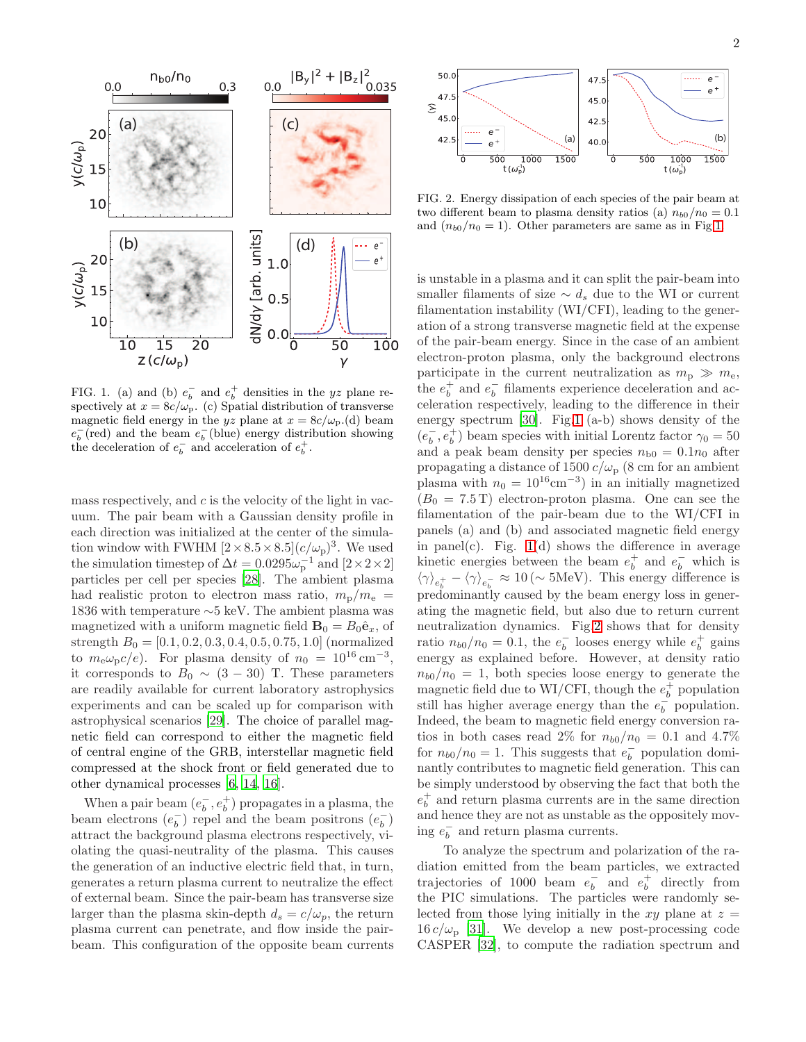

<span id="page-1-0"></span>FIG. 1. (a) and (b)  $e_b^-$  and  $e_b^+$  densities in the yz plane respectively at  $x = 8c/\omega_{\rm p}$ . (c) Spatial distribution of transverse magnetic field energy in the yz plane at  $x = 8c/\omega_{\rm p}$ .(d) beam  $e_b^-(\text{red})$  and the beam  $e_b^-(\text{blue})$  energy distribution showing the deceleration of  $e_b^-$  and acceleration of  $e_b^+$ .

mass respectively, and  $c$  is the velocity of the light in vacuum. The pair beam with a Gaussian density profile in each direction was initialized at the center of the simulation window with FWHM  $[2 \times 8.5 \times 8.5](c/\omega_{\rm p})^3$ . We used the simulation timestep of  $\Delta t = 0.0295 \omega_{\rm p}^{-1}$  and  $[2 \times 2 \times 2]$ particles per cell per species [\[28](#page-4-21)]. The ambient plasma had realistic proton to electron mass ratio,  $m_{\rm p}/m_{\rm e}$  = 1836 with temperature ∼5 keV. The ambient plasma was magnetized with a uniform magnetic field  $\mathbf{B}_0 = B_0 \hat{\mathbf{e}}_x$ , of strength  $B_0 = [0.1, 0.2, 0.3, 0.4, 0.5, 0.75, 1.0]$  (normalized to  $m_{\rm e} \omega_{\rm p} c/e$ ). For plasma density of  $n_0 = 10^{16} \text{ cm}^{-3}$ , it corresponds to  $B_0 \sim (3 - 30)$  T. These parameters are readily available for current laboratory astrophysics experiments and can be scaled up for comparison with astrophysical scenarios [\[29](#page-4-22)]. The choice of parallel magnetic field can correspond to either the magnetic field of central engine of the GRB, interstellar magnetic field compressed at the shock front or field generated due to other dynamical processes [\[6,](#page-4-2) [14,](#page-4-10) [16\]](#page-4-12).

When a pair beam  $(e<sub>b</sub>)$  $\overline{b}$ ,  $e_b^+$ ) propagates in a plasma, the beam electrons  $(e_h^-)$  $\overline{b}_b$ ) repel and the beam positrons  $(e_b^-)$  $\binom{-}{b}$ attract the background plasma electrons respectively, violating the quasi-neutrality of the plasma. This causes the generation of an inductive electric field that, in turn, generates a return plasma current to neutralize the effect of external beam. Since the pair-beam has transverse size larger than the plasma skin-depth  $d_s = c/\omega_p$ , the return plasma current can penetrate, and flow inside the pairbeam. This configuration of the opposite beam currents



<span id="page-1-1"></span>FIG. 2. Energy dissipation of each species of the pair beam at two different beam to plasma density ratios (a)  $n_{b0}/n_0 = 0.1$ and  $(n_{b0}/n_0 = 1)$ . Other parameters are same as in Fig[.1.](#page-1-0)

is unstable in a plasma and it can split the pair-beam into smaller filaments of size  $\sim d_s$  due to the WI or current filamentation instability (WI/CFI), leading to the generation of a strong transverse magnetic field at the expense of the pair-beam energy. Since in the case of an ambient electron-proton plasma, only the background electrons participate in the current neutralization as  $m_{\rm p} \gg m_{\rm e}$ , the  $e_b^+$  and  $e_b^ \overline{b}$  filaments experience deceleration and acceleration respectively, leading to the difference in their energy spectrum [\[30\]](#page-4-23). Fig[.1](#page-1-0) (a-b) shows density of the  $(e_b^-)$  $_b^-, e_b^+$ ) beam species with initial Lorentz factor  $\gamma_0 = 50$ and a peak beam density per species  $n_{b0} = 0.1n_0$  after propagating a distance of 1500  $c/\omega_{\rm p}$  (8 cm for an ambient plasma with  $n_0 = 10^{16} \text{cm}^{-3}$  in an initially magnetized  $(B_0 = 7.5 \text{ T})$  electron-proton plasma. One can see the filamentation of the pair-beam due to the WI/CFI in panels (a) and (b) and associated magnetic field energy in panel(c). Fig.  $1(d)$  $1(d)$  shows the difference in average kinetic energies between the beam  $e_b^+$  and  $e_b^-$  which is  $\langle \gamma \rangle_{e_b^+} - \langle \gamma \rangle_{e_b^-} \approx 10 \, (\sim 5 \text{MeV})$ . This energy difference is predominantly caused by the beam energy loss in generating the magnetic field, but also due to return current neutralization dynamics. Fig[.2](#page-1-1) shows that for density ratio  $n_{b0}/n_0 = 0.1$ , the  $e_b^ \bar{b}$  looses energy while  $e_b^+$  gains energy as explained before. However, at density ratio  $n_{b0}/n_0 = 1$ , both species loose energy to generate the magnetic field due to WI/CFI, though the  $e_b^+$  population still has higher average energy than the  $e_h^{\frac{1}{b}}$  $\bar{b}$  population. Indeed, the beam to magnetic field energy conversion ratios in both cases read 2% for  $n_{b0}/n_0 = 0.1$  and 4.7% for  $n_{b0}/n_0 = 1$ . This suggests that  $e_b^{\dagger}$  $\overline{b}$  population dominantly contributes to magnetic field generation. This can be simply understood by observing the fact that both the  $e_b^+$  and return plasma currents are in the same direction and hence they are not as unstable as the oppositely mov- $\text{ing } e_b^ \overline{b}$  and return plasma currents.

To analyze the spectrum and polarization of the radiation emitted from the beam particles, we extracted trajectories of 1000 beam  $e_b^ \overline{b}_b$  and  $e_b^+$  directly from the PIC simulations. The particles were randomly selected from those lying initially in the  $xy$  plane at  $z =$  $16 c/\omega_{\rm p}$  [\[31\]](#page-4-24). We develop a new post-processing code CASPER [\[32](#page-4-25)], to compute the radiation spectrum and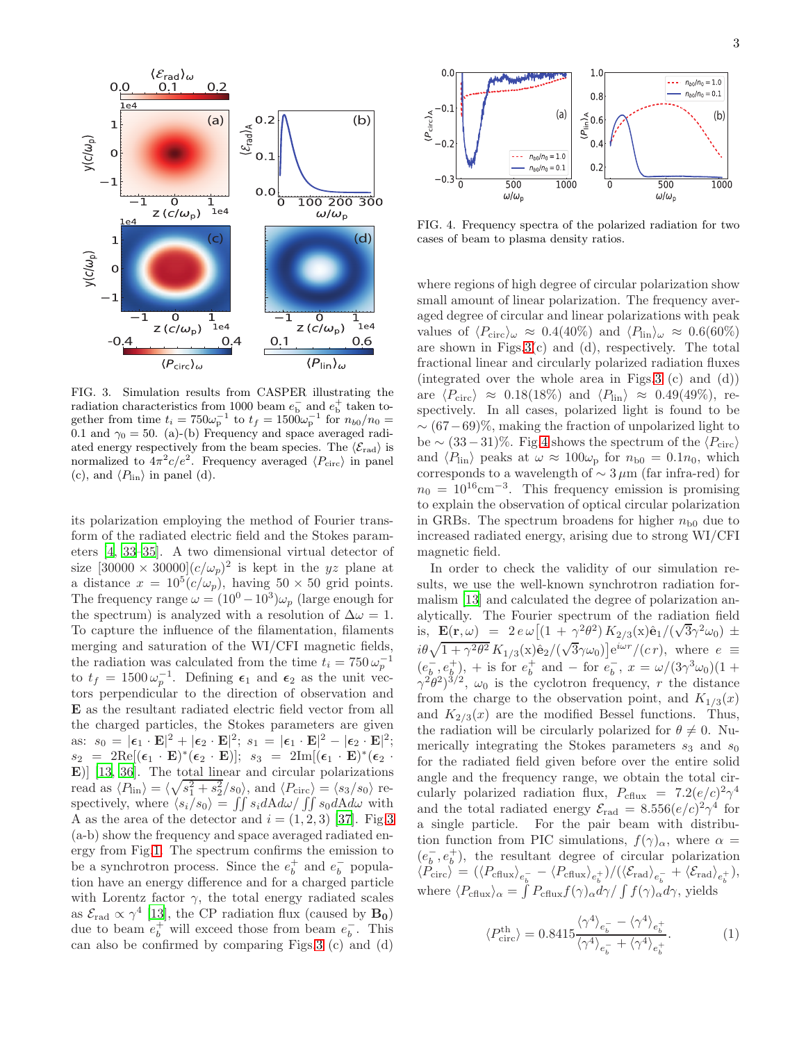

<span id="page-2-0"></span>FIG. 3. Simulation results from CASPER illustrating the radiation characteristics from 1000 beam  $e_b^-$  and  $e_b^+$  taken together from time  $t_i = 750\omega_{\rm p}^{-1}$  to  $t_f = 1500\omega_{\rm p}^{-1}$  for  $n_{b0}/n_0 =$ 0.1 and  $\gamma_0 = 50$ . (a)-(b) Frequency and space averaged radiated energy respectively from the beam species. The  $\langle \mathcal{E}_{rad} \rangle$  is normalized to  $4\pi^2 c/e^2$ . Frequency averaged  $\langle P_{\rm circ} \rangle$  in panel (c), and  $\langle P_{\text{lin}} \rangle$  in panel (d).

its polarization employing the method of Fourier transform of the radiated electric field and the Stokes parameters [\[4,](#page-4-0) [33](#page-4-26)[–35\]](#page-4-27). A two dimensional virtual detector of size  $[30000 \times 30000](c/\omega_p)^2$  is kept in the yz plane at a distance  $x = 10^5 (c/\omega_p)$ , having  $50 \times 50$  grid points. The frequency range  $\omega = (10^0 - 10^3)\omega_p$  (large enough for the spectrum) is analyzed with a resolution of  $\Delta \omega = 1$ . To capture the influence of the filamentation, filaments merging and saturation of the WI/CFI magnetic fields, the radiation was calculated from the time  $t_i = 750 \,\omega_p^{-1}$ to  $t_f = 1500 \,\omega_p^{-1}$ . Defining  $\epsilon_1$  and  $\epsilon_2$  as the unit vectors perpendicular to the direction of observation and E as the resultant radiated electric field vector from all the charged particles, the Stokes parameters are given as:  $s_0 = |\epsilon_1 \cdot \mathbf{E}|^2 + |\epsilon_2 \cdot \mathbf{E}|^2$ ;  $s_1 = |\epsilon_1 \cdot \mathbf{E}|^2 - |\epsilon_2 \cdot \mathbf{E}|^2$ ;  $s_2 = 2\text{Re}[(\epsilon_1 \cdot \mathbf{E})^*(\epsilon_2 \cdot \mathbf{E})]; \ \ s_3 = 2\text{Im}[(\epsilon_1 \cdot \mathbf{E})^*(\epsilon_2 \cdot \mathbf{E})]$ E)] [\[13,](#page-4-28) [36\]](#page-4-29). The total linear and circular polarizations read as  $\langle P_{\text{lin}} \rangle = \langle \sqrt{s_1^2 + s_2^2}/s_0 \rangle$ , and  $\langle P_{\text{circ}} \rangle = \langle s_3/s_0 \rangle$  respectively, where  $\langle s_i/s_0 \rangle = \iint s_i dA d\omega / \iint s_0 dA d\omega$  with A as the area of the detector and  $i = (1, 2, 3)$  [\[37\]](#page-4-30). Fig[.3](#page-2-0) (a-b) show the frequency and space averaged radiated energy from Fig[.1.](#page-1-0) The spectrum confirms the emission to be a synchrotron process. Since the  $e_b^+$  and  $e_b^ \overline{b}$  population have an energy difference and for a charged particle with Lorentz factor  $\gamma$ , the total energy radiated scales as  $\mathcal{E}_{\text{rad}} \propto \gamma^4$  [\[13\]](#page-4-28), the CP radiation flux (caused by **B**<sub>0</sub>) due to beam  $e_b^+$  will exceed those from beam  $e_b^ \overline{b}$ . This can also be confirmed by comparing Figs[.3](#page-2-0) (c) and (d)



<span id="page-2-1"></span>FIG. 4. Frequency spectra of the polarized radiation for two cases of beam to plasma density ratios.

where regions of high degree of circular polarization show small amount of linear polarization. The frequency averaged degree of circular and linear polarizations with peak values of  $\langle P_{\rm circ} \rangle_{\omega} \approx 0.4(40\%)$  and  $\langle P_{\rm lin} \rangle_{\omega} \approx 0.6(60\%)$ are shown in Figs. $3(c)$  and (d), respectively. The total fractional linear and circularly polarized radiation fluxes (integrated over the whole area in Figs[.3](#page-2-0) (c) and (d)) are  $\langle P_{\rm circ} \rangle \approx 0.18(18\%)$  and  $\langle P_{\rm lin} \rangle \approx 0.49(49\%).$  respectively. In all cases, polarized light is found to be  $\sim (67-69)\%$ , making the fraction of unpolarized light to be  $\sim (33-31)\%$ . Fig[.4](#page-2-1) shows the spectrum of the  $\langle P_{\rm circ} \rangle$ and  $\langle P_{\text{lin}} \rangle$  peaks at  $\omega \approx 100\omega_{\text{p}}$  for  $n_{\text{b}0} = 0.1n_0$ , which corresponds to a wavelength of  $\sim 3 \mu m$  (far infra-red) for  $n_0 = 10^{16}$ cm<sup>-3</sup>. This frequency emission is promising to explain the observation of optical circular polarization in GRBs. The spectrum broadens for higher  $n_{b0}$  due to increased radiated energy, arising due to strong WI/CFI magnetic field.

In order to check the validity of our simulation results, we use the well-known synchrotron radiation formalism [\[13\]](#page-4-28) and calculated the degree of polarization analytically. The Fourier spectrum of the radiation field is,  $\mathbf{E}(\mathbf{r},\omega) = 2 e \omega \left[ (1 + \gamma^2 \theta^2) K_{2/3}(x) \hat{\mathbf{e}}_1 / (\sqrt{3} \gamma^2 \omega_0) \pm \right]$  $i\theta\sqrt{1+\gamma^2\theta^2}\,K_{1/3}(\mathbf{x})\hat{\mathbf{e}}_2/(\sqrt{3}\gamma\omega_0)\big]\mathrm{e}^{i\omega r}/(c r)$ , where  $e \equiv$  $\overline{(e_h^{-})}$  $\frac{1}{b}, e_b^+$ , + is for  $e_b^+$  and – for  $e_b^ \bar{b}$ ,  $x = \omega/(3\gamma^3\omega_0)(1 +$  $\gamma^2 \dot{\theta}^2$  $\gamma^3$ <sup>3/2</sup>,  $\omega_0$  is the cyclotron frequency, r the distance from the charge to the observation point, and  $K_{1/3}(x)$ and  $K_{2/3}(x)$  are the modified Bessel functions. Thus, the radiation will be circularly polarized for  $\theta \neq 0$ . Numerically integrating the Stokes parameters  $s_3$  and  $s_0$ for the radiated field given before over the entire solid angle and the frequency range, we obtain the total circularly polarized radiation flux,  $P_{\text{cflux}} = 7.2(e/c)^2 \gamma^4$ and the total radiated energy  $\mathcal{E}_{\text{rad}} = 8.556(e/c)^2 \gamma^4$  for a single particle. For the pair beam with distribution function from PIC simulations,  $f(\gamma)_{\alpha}$ , where  $\alpha =$  $(e_b^-)$  $\bar{b}, e_b^+$ , the resultant degree of circular polarization  $\langle P_{\rm circ} \rangle \, = \, \left( \langle P_{\rm cflux} \rangle_{e_b^-} - \langle P_{\rm cflux} \rangle_{e_b^+} \right) / (\langle {\cal E}_{\rm rad} \rangle_{e_b^-} + \langle {\cal E}_{\rm rad} \rangle_{e_b^+}),$ where  $\langle P_{\text{cflux}}\rangle_{\alpha} = \int P_{\text{cflux}} f(\gamma)_{\alpha} d\gamma / \int f(\gamma)_{\alpha} d\gamma$ , yields

<span id="page-2-2"></span>
$$
\langle P_{\rm circ}^{\rm th} \rangle = 0.8415 \frac{\langle \gamma^4 \rangle_{e_b^-} - \langle \gamma^4 \rangle_{e_b^+}}{\langle \gamma^4 \rangle_{e_b^-} + \langle \gamma^4 \rangle_{e_b^+}}.
$$
 (1)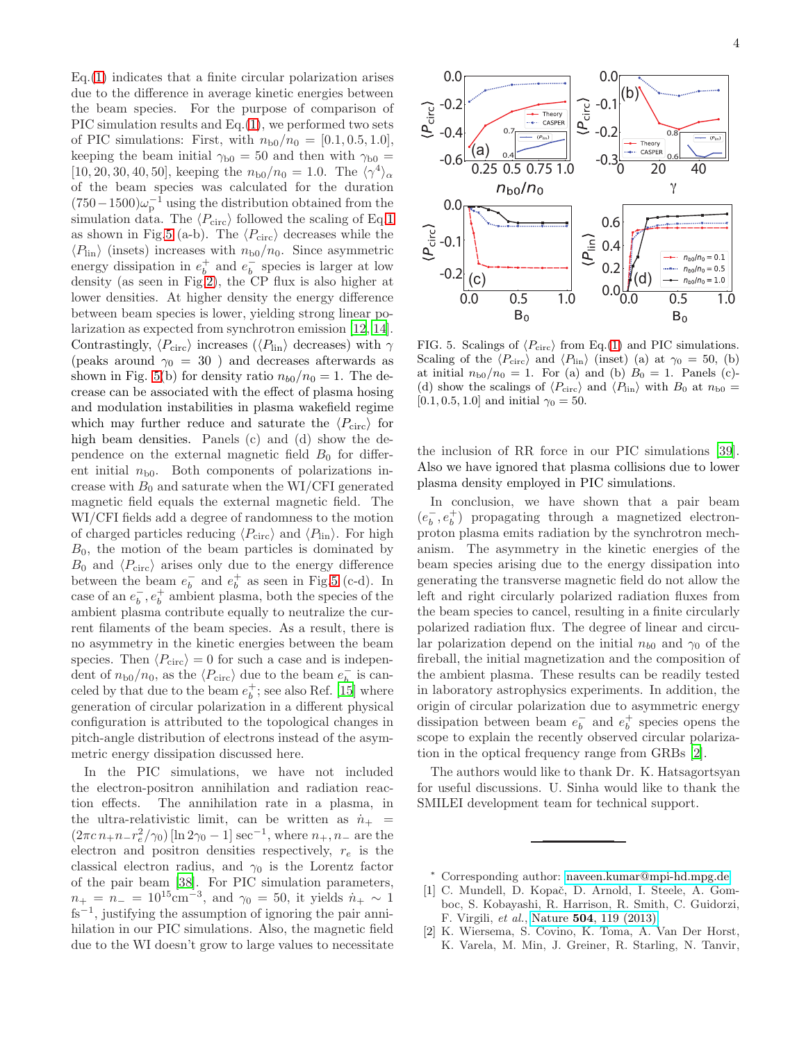Eq.[\(1\)](#page-2-2) indicates that a finite circular polarization arises due to the difference in average kinetic energies between the beam species. For the purpose of comparison of PIC simulation results and Eq.[\(1\)](#page-2-2), we performed two sets of PIC simulations: First, with  $n_{b0}/n_0 = [0.1, 0.5, 1.0],$ keeping the beam initial  $\gamma_{b0} = 50$  and then with  $\gamma_{b0} =$ [10, 20, 30, 40, 50], keeping the  $n_{b0}/n_0 = 1.0$ . The  $\langle \gamma^4 \rangle_{\alpha}$ of the beam species was calculated for the duration  $(750-1500)\omega_{\rm p}^{-1}$  using the distribution obtained from the simulation data. The  $\langle P_{\rm circ} \rangle$  followed the scaling of Eq[.1](#page-2-2) as shown in Fig[.5](#page-3-3) (a-b). The  $\langle P_{\rm circ} \rangle$  decreases while the  $\langle P_{\text{lin}} \rangle$  (insets) increases with  $n_{\text{b}0}/n_0$ . Since asymmetric energy dissipation in  $e_b^+$  and  $e_b^ \overline{b}$  species is larger at low density (as seen in Fig[.2\)](#page-1-1), the CP flux is also higher at lower densities. At higher density the energy difference between beam species is lower, yielding strong linear polarization as expected from synchrotron emission [\[12](#page-4-9), [14\]](#page-4-10). Contrastingly,  $\langle P_{\text{circ}} \rangle$  increases ( $\langle P_{\text{lin}} \rangle$  decreases) with  $\gamma$ (peaks around  $\gamma_0 = 30$ ) and decreases afterwards as shown in Fig. [5\(](#page-3-3)b) for density ratio  $n_{b0}/n_0 = 1$ . The decrease can be associated with the effect of plasma hosing and modulation instabilities in plasma wakefield regime which may further reduce and saturate the  $\langle P_{\rm circ} \rangle$  for high beam densities. Panels (c) and (d) show the dependence on the external magnetic field  $B_0$  for different initial  $n_{b0}$ . Both components of polarizations increase with  $B_0$  and saturate when the WI/CFI generated magnetic field equals the external magnetic field. The WI/CFI fields add a degree of randomness to the motion of charged particles reducing  $\langle P_{\rm circ} \rangle$  and  $\langle P_{\rm lin} \rangle$  . For high  $B_0$ , the motion of the beam particles is dominated by  $B_0$  and  $\langle P_{\text{circ}} \rangle$  arises only due to the energy difference between the beam  $e_h^ _b^-$  and  $e_b^+$  as seen in Fig[.5](#page-3-3) (c-d). In case of an  $e_h^ _b^-, e_b^+$  ambient plasma, both the species of the ambient plasma contribute equally to neutralize the current filaments of the beam species. As a result, there is no asymmetry in the kinetic energies between the beam species. Then  $\langle P_{\text{circ}} \rangle = 0$  for such a case and is independent of  $n_{b0}/n_0$ , as the  $\langle P_{\text{circ}} \rangle$  due to the beam  $e_b^ _b^-$  is canceled by that due to the beam  $e_b^+$ ; see also Ref. [\[15](#page-4-11)] where generation of circular polarization in a different physical configuration is attributed to the topological changes in pitch-angle distribution of electrons instead of the asymmetric energy dissipation discussed here.

In the PIC simulations, we have not included the electron-positron annihilation and radiation reaction effects. The annihilation rate in a plasma, in the ultra-relativistic limit, can be written as  $\dot{n}_{+}$  =  $(2\pi c n_{+}n_{-}r_{e}^{2}/\gamma_{0})$  [ln  $2\gamma_{0} - 1$ ] sec<sup>-1</sup>, where  $n_{+}, n_{-}$  are the electron and positron densities respectively,  $r_e$  is the classical electron radius, and  $\gamma_0$  is the Lorentz factor of the pair beam [\[38\]](#page-4-31). For PIC simulation parameters,  $n_{+} = n_{-} = 10^{15} \text{cm}^{-3}$ , and  $\gamma_0 = 50$ , it yields  $n_{+} \sim 1$ fs<sup>−</sup><sup>1</sup> , justifying the assumption of ignoring the pair annihilation in our PIC simulations. Also, the magnetic field due to the WI doesn't grow to large values to necessitate



<span id="page-3-3"></span>FIG. 5. Scalings of  $\langle P_{\rm circ} \rangle$  from Eq.[\(1\)](#page-2-2) and PIC simulations. Scaling of the  $\langle P_{\rm circ} \rangle$  and  $\langle P_{\rm lin} \rangle$  (inset) (a) at  $\gamma_0 = 50$ , (b) at initial  $n_{b0}/n_0 = 1$ . For (a) and (b)  $B_0 = 1$ . Panels (c)-(d) show the scalings of  $\langle P_{\text{circ}} \rangle$  and  $\langle P_{\text{lin}} \rangle$  with  $B_0$  at  $n_{b0} =$ [0.1, 0.5, 1.0] and initial  $\gamma_0 = 50$ .

the inclusion of RR force in our PIC simulations [\[39\]](#page-4-32). Also we have ignored that plasma collisions due to lower plasma density employed in PIC simulations.

In conclusion, we have shown that a pair beam  $(e_b^-)$  $\bar{b}, e_b^+$  propagating through a magnetized electronproton plasma emits radiation by the synchrotron mechanism. The asymmetry in the kinetic energies of the beam species arising due to the energy dissipation into generating the transverse magnetic field do not allow the left and right circularly polarized radiation fluxes from the beam species to cancel, resulting in a finite circularly polarized radiation flux. The degree of linear and circular polarization depend on the initial  $n_{b0}$  and  $\gamma_0$  of the fireball, the initial magnetization and the composition of the ambient plasma. These results can be readily tested in laboratory astrophysics experiments. In addition, the origin of circular polarization due to asymmetric energy dissipation between beam  $e_h^ \bar{b}$  and  $e_b^+$  species opens the scope to explain the recently observed circular polarization in the optical frequency range from GRBs [\[2\]](#page-3-2).

The authors would like to thank Dr. K. Hatsagortsyan for useful discussions. U. Sinha would like to thank the SMILEI development team for technical support.

- <sup>∗</sup> Corresponding author: [naveen.kumar@mpi-hd.mpg.de](mailto:naveen.kumar@mpi-hd.mpg.de)
- <span id="page-3-1"></span><span id="page-3-0"></span>[1] C. Mundell, D. Kopač, D. Arnold, I. Steele, A. Gomboc, S. Kobayashi, R. Harrison, R. Smith, C. Guidorzi, F. Virgili, et al., Nature 504[, 119 \(2013\).](https://www.nature.com/articles/nature12814)
- <span id="page-3-2"></span>[2] K. Wiersema, S. Covino, K. Toma, A. Van Der Horst, K. Varela, M. Min, J. Greiner, R. Starling, N. Tanvir,